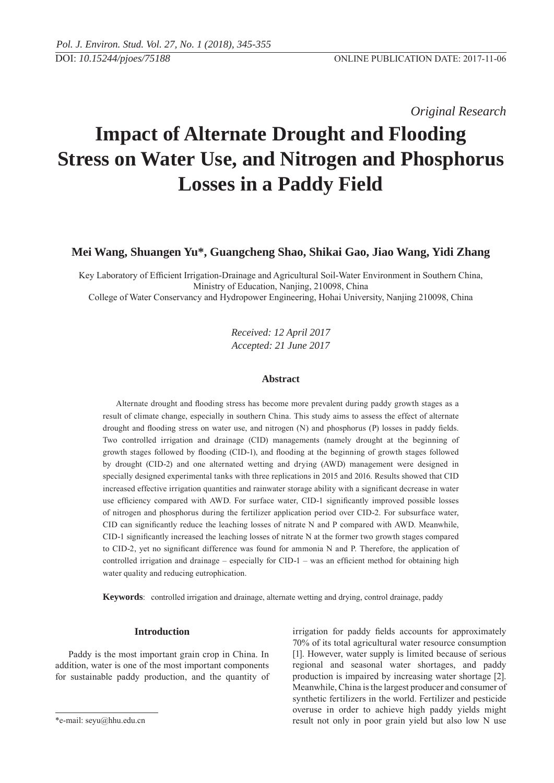*Original Research* 

# **Impact of Alternate Drought and Flooding Stress on Water Use, and Nitrogen and Phosphorus Losses in a Paddy Field**

## **Mei Wang, Shuangen Yu\*, Guangcheng Shao, Shikai Gao, Jiao Wang, Yidi Zhang**

Key Laboratory of Efficient Irrigation-Drainage and Agricultural Soil-Water Environment in Southern China, Ministry of Education, Nanjing, 210098, China

College of Water Conservancy and Hydropower Engineering, Hohai University, Nanjing 210098, China

*Received: 12 April 2017 Accepted: 21 June 2017*

## **Abstract**

Alternate drought and flooding stress has become more prevalent during paddy growth stages as a result of climate change, especially in southern China. This study aims to assess the effect of alternate drought and flooding stress on water use, and nitrogen  $(N)$  and phosphorus  $(P)$  losses in paddy fields. Two controlled irrigation and drainage (CID) managements (namely drought at the beginning of growth stages followed by flooding (CID-1), and flooding at the beginning of growth stages followed by drought (CID-2) and one alternated wetting and drying (AWD) management were designed in specially designed experimental tanks with three replications in 2015 and 2016. Results showed that CID increased effective irrigation quantities and rainwater storage ability with a significant decrease in water use efficiency compared with AWD. For surface water, CID-1 significantly improved possible losses of nitrogen and phosphorus during the fertilizer application period over CID-2. For subsurface water, CID can significantly reduce the leaching losses of nitrate  $N$  and  $P$  compared with AWD. Meanwhile, CID-1 significantly increased the leaching losses of nitrate N at the former two growth stages compared to CID-2, yet no significant difference was found for ammonia N and P. Therefore, the application of controlled irrigation and drainage – especially for CID-1 – was an efficient method for obtaining high water quality and reducing eutrophication.

**Keywords**: controlled irrigation and drainage, alternate wetting and drying, control drainage, paddy

## **Introduction**

Paddy is the most important grain crop in China. In addition, water is one of the most important components for sustainable paddy production, and the quantity of

irrigation for paddy fields accounts for approximately 70% of its total agricultural water resource consumption [1]. However, water supply is limited because of serious regional and seasonal water shortages, and paddy production is impaired by increasing water shortage [2]. Meanwhile, China is the largest producer and consumer of synthetic fertilizers in the world. Fertilizer and pesticide overuse in order to achieve high paddy yields might result not only in poor grain yield but also low N use

<sup>\*</sup>e-mail: seyu@hhu.edu.cn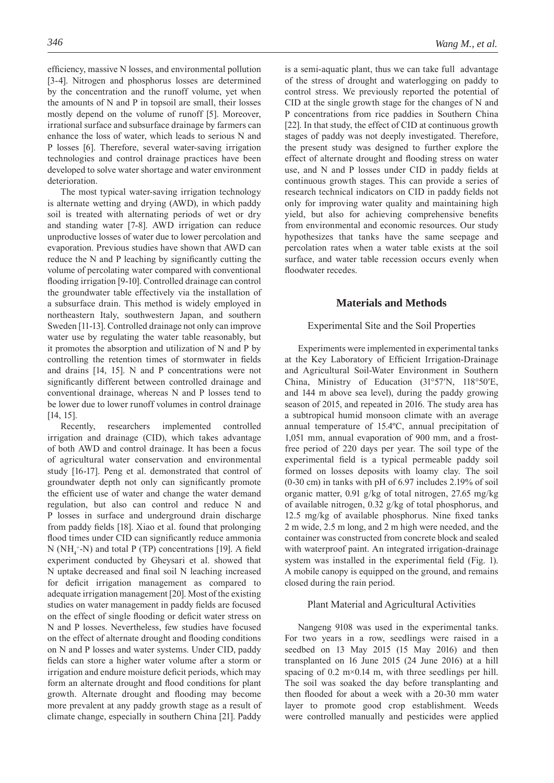efficiency, massive N losses, and environmental pollution [3-4]. Nitrogen and phosphorus losses are determined by the concentration and the runoff volume, yet when the amounts of N and P in topsoil are small, their losses mostly depend on the volume of runoff [5]. Moreover, irrational surface and subsurface drainage by farmers can enhance the loss of water, which leads to serious N and P losses [6]. Therefore, several water-saving irrigation technologies and control drainage practices have been developed to solve water shortage and water environment deterioration.

The most typical water-saving irrigation technology is alternate wetting and drying (AWD), in which paddy soil is treated with alternating periods of wet or dry and standing water [7-8]. AWD irrigation can reduce unproductive losses of water due to lower percolation and evaporation. Previous studies have shown that AWD can reduce the N and P leaching by significantly cutting the volume of percolating water compared with conventional flooding irrigation [9-10]. Controlled drainage can control the groundwater table effectively via the installation of a subsurface drain. This method is widely employed in northeastern Italy, southwestern Japan, and southern Sweden [11-13]. Controlled drainage not only can improve water use by regulating the water table reasonably, but it promotes the absorption and utilization of N and P by controlling the retention times of stormwater in fields and drains [14, 15]. N and P concentrations were not significantly different between controlled drainage and conventional drainage, whereas N and P losses tend to be lower due to lower runoff volumes in control drainage [14, 15].

Recently, researchers implemented controlled irrigation and drainage (CID), which takes advantage of both AWD and control drainage. It has been a focus of agricultural water conservation and environmental study [16-17]. Peng et al. demonstrated that control of groundwater depth not only can significantly promote the efficient use of water and change the water demand regulation, but also can control and reduce N and P losses in surface and underground drain discharge from paddy fields [18]. Xiao et al. found that prolonging flood times under CID can significantly reduce ammonia  $N(NH<sub>4</sub><sup>+</sup>-N)$  and total P (TP) concentrations [19]. A field experiment conducted by Gheysari et al. showed that N uptake decreased and final soil N leaching increased for deficit irrigation management as compared to adequate irrigation management [20]. Most of the existing studies on water management in paddy fields are focused on the effect of single flooding or deficit water stress on N and P losses. Nevertheless, few studies have focused on the effect of alternate drought and flooding conditions on N and P losses and water systems. Under CID, paddy fields can store a higher water volume after a storm or irrigation and endure moisture deficit periods, which may form an alternate drought and flood conditions for plant growth. Alternate drought and flooding may become more prevalent at any paddy growth stage as a result of climate change, especially in southern China [21]. Paddy

is a semi-aquatic plant, thus we can take full advantage of the stress of drought and waterlogging on paddy to control stress. We previously reported the potential of CID at the single growth stage for the changes of N and P concentrations from rice paddies in Southern China [22]. In that study, the effect of CID at continuous growth stages of paddy was not deeply investigated. Therefore, the present study was designed to further explore the effect of alternate drought and flooding stress on water use, and N and P losses under CID in paddy fields at continuous growth stages. This can provide a series of research technical indicators on CID in paddy fields not only for improving water quality and maintaining high yield, but also for achieving comprehensive benefits from environmental and economic resources. Our study hypothesizes that tanks have the same seepage and percolation rates when a water table exists at the soil surface, and water table recession occurs evenly when floodwater recedes.

## **Materials and Methods**

## Experimental Site and the Soil Properties

Experiments were implemented in experimental tanks at the Key Laboratory of Efficient Irrigation-Drainage and Agricultural Soil-Water Environment in Southern China, Ministry of Education (31°57′N, 118°50′E, and 144 m above sea level), during the paddy growing season of 2015, and repeated in 2016. The study area has a subtropical humid monsoon climate with an average annual temperature of 15.4ºC, annual precipitation of 1,051 mm, annual evaporation of 900 mm, and a frostfree period of 220 days per year. The soil type of the experimental field is a typical permeable paddy soil formed on losses deposits with loamy clay. The soil (0-30 cm) in tanks with pH of 6.97 includes 2.19% of soil organic matter, 0.91 g/kg of total nitrogen, 27.65 mg/kg of available nitrogen, 0.32 g/kg of total phosphorus, and  $12.5 \text{ mg/kg}$  of available phosphorus. Nine fixed tanks 2 m wide, 2.5 m long, and 2 m high were needed, and the container was constructed from concrete block and sealed with waterproof paint. An integrated irrigation-drainage system was installed in the experimental field (Fig. 1). A mobile canopy is equipped on the ground, and remains closed during the rain period.

#### Plant Material and Agricultural Activities

Nangeng 9108 was used in the experimental tanks. For two years in a row, seedlings were raised in a seedbed on 13 May 2015 (15 May 2016) and then transplanted on 16 June 2015 (24 June 2016) at a hill spacing of  $0.2 \text{ m} \times 0.14 \text{ m}$ , with three seedlings per hill. The soil was soaked the day before transplanting and then flooded for about a week with a 20-30 mm water layer to promote good crop establishment. Weeds were controlled manually and pesticides were applied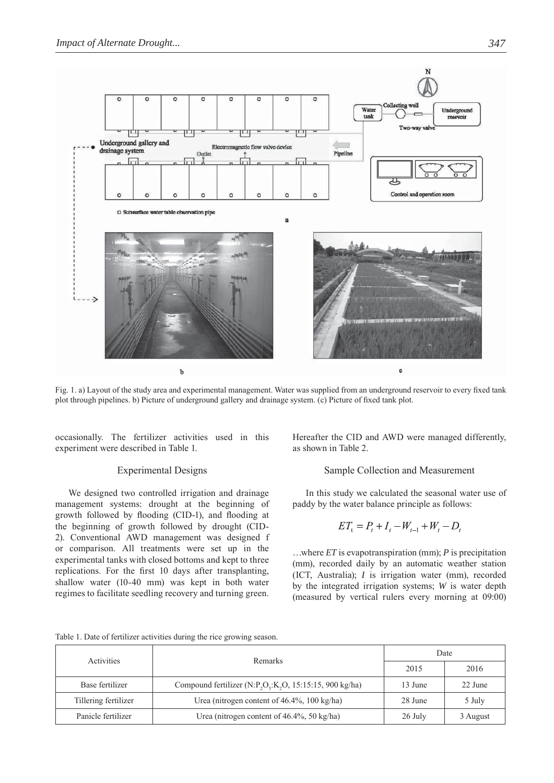

Fig. 1. a) Layout of the study area and experimental management. Water was supplied from an underground reservoir to every fixed tank plot through pipelines. b) Picture of underground gallery and drainage system. (c) Picture of fixed tank plot.

occasionally. The fertilizer activities used in this experiment were described in Table 1.

## Experimental Designs

We designed two controlled irrigation and drainage management systems: drought at the beginning of growth followed by flooding (CID-1), and flooding at the beginning of growth followed by drought (CID-2). Conventional AWD management was designed f or comparison. All treatments were set up in the experimental tanks with closed bottoms and kept to three replications. For the first 10 days after transplanting, shallow water (10-40 mm) was kept in both water regimes to facilitate seedling recovery and turning green.

Hereafter the CID and AWD were managed differently, as shown in Table 2.

## Sample Collection and Measurement

In this study we calculated the seasonal water use of paddy by the water balance principle as follows:

$$
ET_{t} = P_{t} + I_{t} - W_{t-1} + W_{t} - D_{t}
$$

…where *ET* is evapotranspiration (mm); *P* is precipitation (mm), recorded daily by an automatic weather station (ICT, Australia); *I* is irrigation water (mm), recorded by the integrated irrigation systems; *W* is water depth (measured by vertical rulers every morning at 09:00)

|  | Table 1. Date of fertilizer activities during the rice growing season. |  |  |  |
|--|------------------------------------------------------------------------|--|--|--|

| Activities           | Remarks                                                | Date    |          |  |
|----------------------|--------------------------------------------------------|---------|----------|--|
|                      |                                                        | 2015    | 2016     |  |
| Base fertilizer      | Compound fertilizer $(N.P,Q,K,O, 15:15:15, 900 kg/ha)$ | 13 June | 22 June  |  |
| Tillering fertilizer | Urea (nitrogen content of $46.4\%$ , 100 kg/ha)        | 28 June | 5 July   |  |
| Panicle fertilizer   | Urea (nitrogen content of $46.4\%$ , 50 kg/ha)         | 26 July | 3 August |  |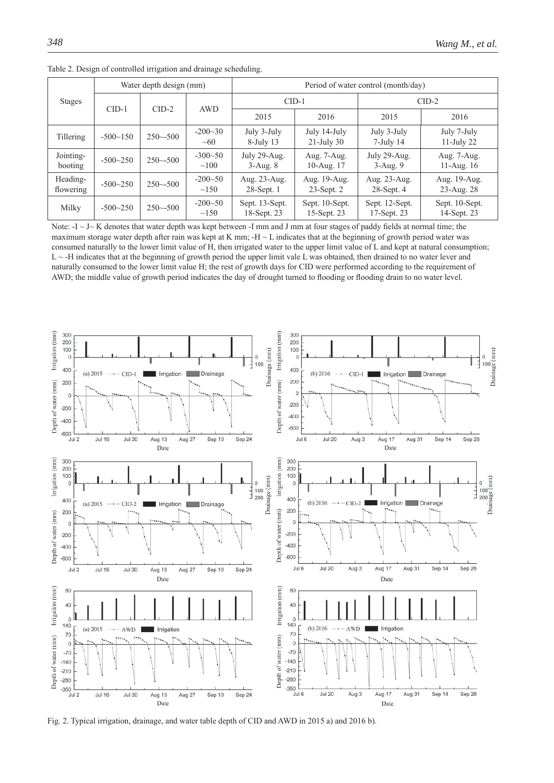| <b>Stages</b>         |            | Water depth design (mm) |                         | Period of water control (month/day) |                                 |                               |                                |  |  |
|-----------------------|------------|-------------------------|-------------------------|-------------------------------------|---------------------------------|-------------------------------|--------------------------------|--|--|
|                       | $CID-1$    | $CID-2$                 | AWD                     | $CID-1$                             |                                 | $CID-2$                       |                                |  |  |
|                       |            |                         |                         | 2015                                | 2016                            | 2015                          | 2016                           |  |  |
| Tillering             | $-500-150$ | $250 - 500$             | $-200-30$<br>$\sim 60$  | July 3-July<br>$8$ -July 13         | July 14-July<br>$21$ -July 30   | July 3-July<br>$7$ -July 14   | July 7-July<br>$11$ -July 22   |  |  |
| Jointing-<br>booting  | $-500-250$ | $250 - 500$             | $-300-50$<br>$\sim 100$ | July 29-Aug.<br>$3-Aug.8$           | Aug. 7-Aug.<br>10-Aug. 17       | July 29-Aug.<br>$3-Aug.9$     | Aug. 7-Aug.<br>11-Aug. $16$    |  |  |
| Heading-<br>flowering | $-500-250$ | $250 - 500$             | $-200-50$<br>$\sim$ 150 | Aug. 23-Aug.<br>$28$ -Sept. 1       | Aug. 19-Aug.<br>$23$ -Sept. $2$ | Aug. 23-Aug.<br>$28$ -Sept. 4 | Aug. 19-Aug.<br>$23 - Aug. 28$ |  |  |
| Milky                 | $-500-250$ | $250 - 500$             | $-200-50$<br>$\sim$ 150 | Sept. 13-Sept.<br>18-Sept. 23       | Sept. 10-Sept.<br>15-Sept. 23   | Sept. 12-Sept.<br>17-Sept. 23 | Sept. 10-Sept.<br>14-Sept. 23  |  |  |

Table 2. Design of controlled irrigation and drainage scheduling.

Note:  $-I \sim J \sim K$  denotes that water depth was kept between -I mm and J mm at four stages of paddy fields at normal time; the maximum storage water depth after rain was kept at K mm;  $-H \sim L$  indicates that at the beginning of growth period water was consumed naturally to the lower limit value of H, then irrigated water to the upper limit value of L and kept at natural consumption;  $L \sim$ -H indicates that at the beginning of growth period the upper limit vale L was obtained, then drained to no water lever and naturally consumed to the lower limit value H; the rest of growth days for CID were performed according to the requirement of AWD; the middle value of growth period indicates the day of drought turned to flooding or flooding drain to no water level.



Fig. 2. Typical irrigation, drainage, and water table depth of CID and AWD in 2015 a) and 2016 b).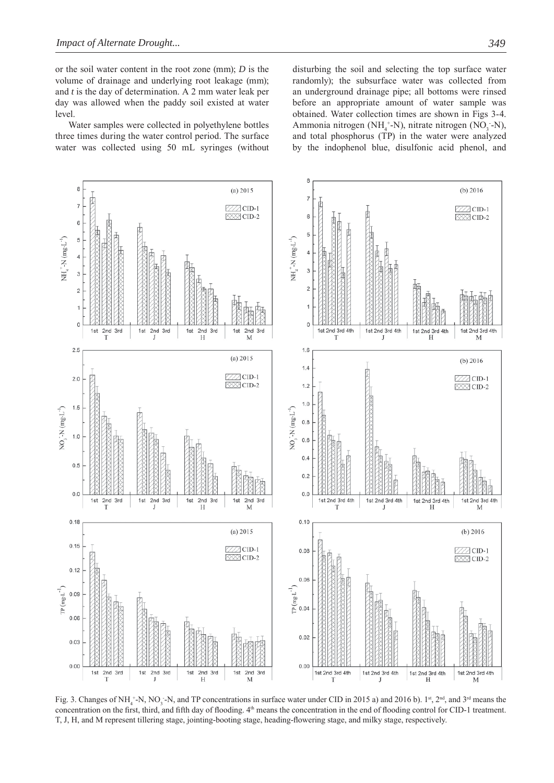or the soil water content in the root zone (mm); *D* is the volume of drainage and underlying root leakage (mm); and *t* is the day of determination. A 2 mm water leak per day was allowed when the paddy soil existed at water level.

Water samples were collected in polyethylene bottles three times during the water control period. The surface water was collected using 50 mL syringes (without disturbing the soil and selecting the top surface water randomly); the subsurface water was collected from an underground drainage pipe; all bottoms were rinsed before an appropriate amount of water sample was obtained. Water collection times are shown in Figs 3-4. Ammonia nitrogen (NH<sub>4</sub><sup>+</sup>-N), nitrate nitrogen (NO<sub>3</sub> -N), and total phosphorus (TP) in the water were analyzed by the indophenol blue, disulfonic acid phenol, and



Fig. 3. Changes of NH<sub>4</sub><sup>+</sup>-N, NO<sub>3</sub><sup>-</sup>-N, and TP concentrations in surface water under CID in 2015 a) and 2016 b). 1<sup>st</sup>, 2<sup>nd</sup>, and 3<sup>rd</sup> means the concentration on the first, third, and fifth day of flooding.  $4<sup>th</sup>$  means the concentration in the end of flooding control for CID-1 treatment. T, J, H, and M represent tillering stage, jointing-booting stage, heading-flowering stage, and milky stage, respectively.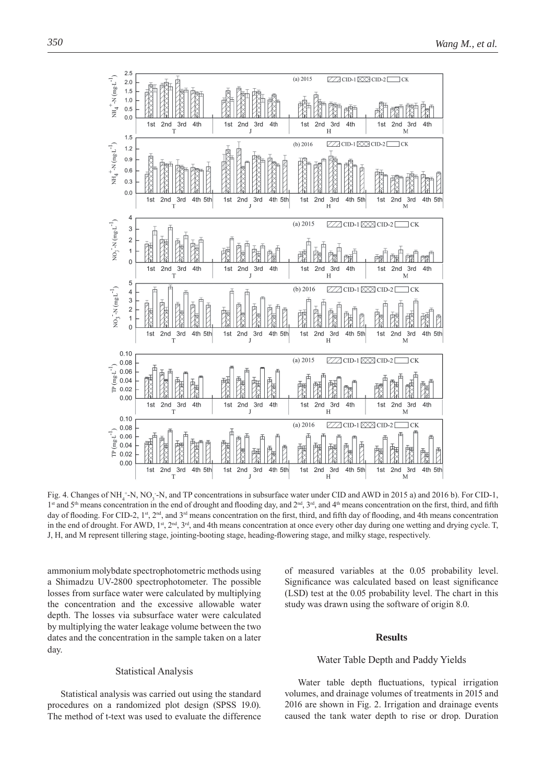

Fig. 4. Changes of NH<sub>4</sub><sup>+</sup>-N, NO<sub>3</sub><sup>-</sup>-N, and TP concentrations in subsurface water under CID and AWD in 2015 a) and 2016 b). For CID-1, 1st and 5<sup>th</sup> means concentration in the end of drought and flooding day, and 2<sup>nd</sup>, 3<sup>rd</sup>, and 4<sup>th</sup> means concentration on the first, third, and fifth day of flooding. For CID-2, 1<sup>st</sup>, 2<sup>nd</sup>, and 3<sup>rd</sup> means concentration on the first, third, and fifth day of flooding, and 4th means concentration in the end of drought. For AWD,  $1^{st}$ ,  $2^{nd}$ ,  $3^{rd}$ , and 4th means concentration at once every other day during one wetting and drying cycle. T, J, H, and M represent tillering stage, jointing-booting stage, heading-flowering stage, and milky stage, respectively.

ammonium molybdate spectrophotometric methods using a Shimadzu UV-2800 spectrophotometer. The possible losses from surface water were calculated by multiplying the concentration and the excessive allowable water depth. The losses via subsurface water were calculated by multiplying the water leakage volume between the two dates and the concentration in the sample taken on a later day.

### Statistical Analysis

Statistical analysis was carried out using the standard procedures on a randomized plot design (SPSS 19.0). The method of t-text was used to evaluate the difference

of measured variables at the 0.05 probability level. Significance was calculated based on least significance (LSD) test at the 0.05 probability level. The chart in this study was drawn using the software of origin 8.0.

## **Results**

#### Water Table Depth and Paddy Yields

Water table depth fluctuations, typical irrigation volumes, and drainage volumes of treatments in 2015 and 2016 are shown in Fig. 2. Irrigation and drainage events caused the tank water depth to rise or drop. Duration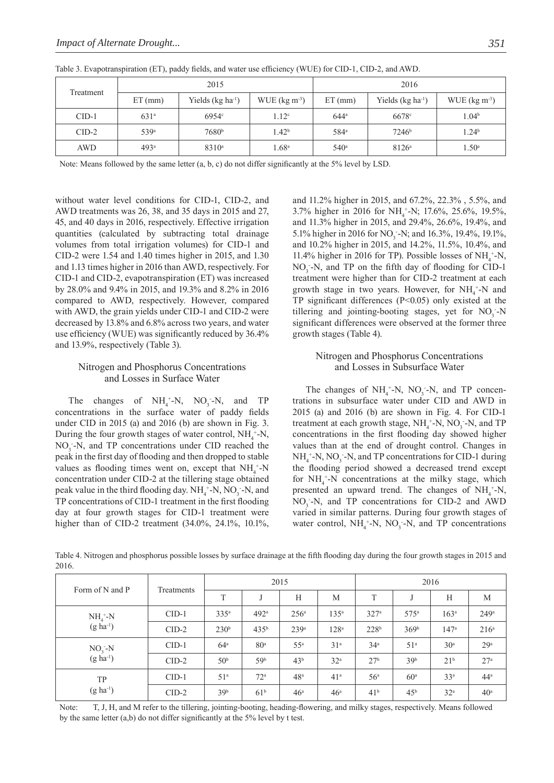|           |                  | 2015                  |                            | 2016             |                       |                            |  |  |
|-----------|------------------|-----------------------|----------------------------|------------------|-----------------------|----------------------------|--|--|
| Treatment | $ET$ (mm)        | Yields $(kg ha^{-1})$ | WUE ( $\text{kg m}^{-3}$ ) | $ET$ (mm)        | Yields $(kg ha^{-1})$ | WUE ( $\text{kg m}^{-3}$ ) |  |  |
| $CID-1$   | $631^{\circ}$    | $6954^\circ$          | 1.12 <sup>c</sup>          | $644^{\circ}$    | $6678$ <sup>c</sup>   | 1.04 <sup>b</sup>          |  |  |
| $CID-2$   | 539 <sup>a</sup> | 7680 <sup>b</sup>     | 1.42 <sup>b</sup>          | 584 <sup>a</sup> | 7246 <sup>b</sup>     | 1.24 <sup>b</sup>          |  |  |
| AWD       | 493 <sup>a</sup> | $8310^a$              | $1.68$ <sup>a</sup>        | 540 <sup>a</sup> | $8126^{\circ}$        | $1.50^{\circ}$             |  |  |

Table 3. Evapotranspiration (ET), paddy fields, and water use efficiency (WUE) for CID-1, CID-2, and AWD.

Note: Means followed by the same letter  $(a, b, c)$  do not differ significantly at the 5% level by LSD.

without water level conditions for CID-1, CID-2, and AWD treatments was 26, 38, and 35 days in 2015 and 27, 45, and 40 days in 2016, respectively. Effective irrigation quantities (calculated by subtracting total drainage volumes from total irrigation volumes) for CID-1 and CID-2 were 1.54 and 1.40 times higher in 2015, and 1.30 and 1.13 times higher in 2016 than AWD, respectively. For  $CID-1$  and  $CID-2$ , evapotranspiration  $(ET)$  was increased by 28.0% and 9.4% in 2015, and 19.3% and 8.2% in 2016 compared to AWD, respectively. However, compared with AWD, the grain yields under CID-1 and CID-2 were decreased by 13.8% and 6.8% across two years, and water use efficiency (WUE) was significantly reduced by  $36.4\%$ and 13.9%, respectively (Table 3).

## Nitrogen and Phosphorus Concentrations and Losses in Surface Water

The changes of  $NH_4^+$ -N, NO<sub>3</sub>-N, and TP concentrations in the surface water of paddy fields under CID in 2015 (a) and 2016 (b) are shown in Fig. 3. During the four growth stages of water control,  $NH_4^+$ -N,  $NO<sub>3</sub>$  -N, and TP concentrations under CID reached the peak in the first day of flooding and then dropped to stable values as flooding times went on, except that  $NH_4$ <sup>+</sup>-N concentration under CID-2 at the tillering stage obtained peak value in the third flooding day.  $NH_4^+$ -N,  $NO_3^-$ -N, and TP concentrations of CID-1 treatment in the first flooding day at four growth stages for CID-1 treatment were higher than of CID-2 treatment (34.0%, 24.1%, 10.1%,

and 11.2% higher in 2015, and 67.2%, 22.3% , 5.5%, and 3.7% higher in 2016 for NH<sub>4</sub><sup>+</sup>-N; 17.6%, 25.6%, 19.5%, and 11.3% higher in 2015, and 29.4%, 26.6%, 19.4%, and 5.1% higher in 2016 for NO<sub>3</sub> -N; and 16.3%, 19.4%, 19.1%, and 10.2% higher in 2015, and 14.2%, 11.5%, 10.4%, and 11.4% higher in 2016 for TP). Possible losses of  $NH_4^+$ -N,  $NO_3$ -N, and TP on the fifth day of flooding for CID-1 treatment were higher than for CID-2 treatment at each growth stage in two years. However, for  $NH_4^+$ -N and TP significant differences  $(P<0.05)$  only existed at the tillering and jointing-booting stages, yet for  $NO_3^-$ -N significant differences were observed at the former three growth stages (Table 4).

## Nitrogen and Phosphorus Concentrations and Losses in Subsurface Water

The changes of  $NH_4^+$ -N, NO<sub>3</sub>-N, and TP concentrations in subsurface water under CID and AWD in 2015 (a) and 2016 (b) are shown in Fig. 4. For CID-1 treatment at each growth stage,  $NH_4^+$ -N,  $NO_3^-$ -N, and TP concentrations in the first flooding day showed higher values than at the end of drought control. Changes in  $NH<sub>4</sub><sup>+</sup>-N, NO<sub>3</sub>-N, and TP concentrations for CID-1 during$ the flooding period showed a decreased trend except for  $NH_4$ <sup>+</sup>-N concentrations at the milky stage, which presented an upward trend. The changes of  $NH_4^+$ -N, NO<sub>3</sub>-N, and TP concentrations for CID-2 and AWD varied in similar patterns. During four growth stages of water control,  $NH_4^+$ -N, NO<sub>3</sub>-N, and TP concentrations

Table 4. Nitrogen and phosphorus possible losses by surface drainage at the fifth flooding day during the four growth stages in 2015 and 2016.

| Form of N and P         | Treatments | 2015             |                  |                  |                  | 2016             |                  |                  |                  |
|-------------------------|------------|------------------|------------------|------------------|------------------|------------------|------------------|------------------|------------------|
|                         |            | T                | J                | H                | M                | T                | IJ               | H                | M                |
| $NH4+-N$<br>$(g ha-1)$  | $CID-1$    | 335 <sup>a</sup> | 492ª             | 256 <sup>a</sup> | 135 <sup>a</sup> | 327 <sup>a</sup> | 575a             | 163 <sup>a</sup> | 249a             |
|                         | $CID-2$    | 230 <sup>b</sup> | 435 <sup>b</sup> | 239 <sup>a</sup> | 128 <sup>a</sup> | 228 <sup>b</sup> | 369 <sup>b</sup> | 147 <sup>a</sup> | 216 <sup>a</sup> |
| $NO3-N$<br>$(g ha-1)$   | $CID-1$    | 64 <sup>a</sup>  | 80 <sup>a</sup>  | $55^{\rm a}$     | 31 <sup>a</sup>  | 34 <sup>a</sup>  | 51 <sup>a</sup>  | 30 <sup>a</sup>  | 29 <sup>a</sup>  |
|                         | $CID-2$    | 50 <sup>b</sup>  | 59 <sup>b</sup>  | 43 <sup>b</sup>  | 32 <sup>a</sup>  | 27 <sup>b</sup>  | 39 <sup>b</sup>  | 21 <sup>b</sup>  | 27 <sup>a</sup>  |
| <b>TP</b><br>$(g ha-1)$ | $CID-1$    | 51 <sup>a</sup>  | 72 <sup>a</sup>  | 48 <sup>a</sup>  | 41 <sup>a</sup>  | 56 <sup>a</sup>  | 60 <sup>a</sup>  | 33 <sup>a</sup>  | 44 <sup>a</sup>  |
|                         | $CID-2$    | 39 <sup>b</sup>  | 61 <sup>b</sup>  | 46 <sup>a</sup>  | 46 <sup>a</sup>  | 41 <sup>b</sup>  | 45 <sup>b</sup>  | 32 <sup>a</sup>  | 40 <sup>a</sup>  |

Note: T, J, H, and M refer to the tillering, jointing-booting, heading-flowering, and milky stages, respectively. Means followed by the same letter  $(a,b)$  do not differ significantly at the 5% level by t test.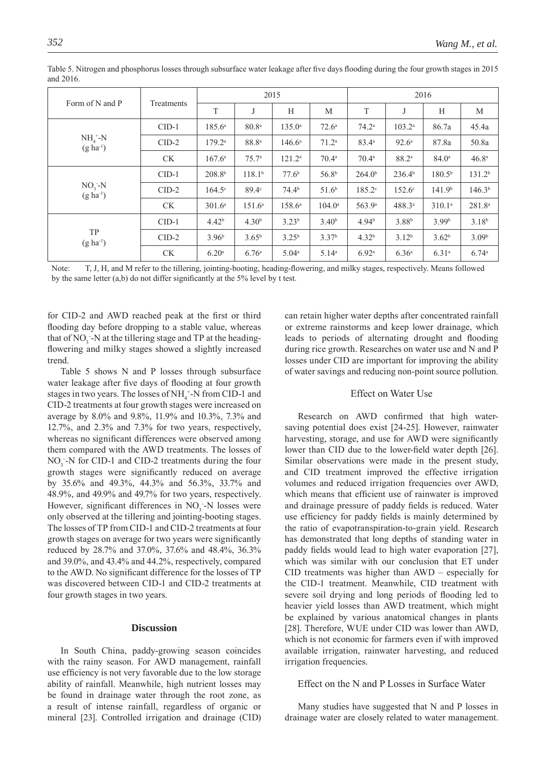| Form of N and P           |            | 2015               |                    |                   |                   | 2016               |                    |                    |                    |
|---------------------------|------------|--------------------|--------------------|-------------------|-------------------|--------------------|--------------------|--------------------|--------------------|
|                           | Treatments | T                  | J                  | Н                 | M                 | T                  |                    | Н                  | M                  |
| $NH4+-N$<br>$(g ha^{-1})$ | $CID-1$    | $185.6^a$          | 80.8 <sup>a</sup>  | $135.0^{\circ}$   | $72.6^{\circ}$    | $74.2^{\rm a}$     | $103.2^{\circ}$    | 86.7a              | 45.4a              |
|                           | $CID-2$    | $179.2^{\circ}$    | $88.8^\mathrm{a}$  | $146.6^{\circ}$   | 71.2 <sup>a</sup> | $83.4^{a}$         | $92.6^{\circ}$     | 87.8a              | 50.8a              |
|                           | <b>CK</b>  | $167.6^a$          | 75.7 <sup>a</sup>  | $121.2^a$         | $70.4^{\circ}$    | $70.4^{\circ}$     | 88.2 <sup>a</sup>  | $84.0^{\circ}$     | 46.8 <sup>a</sup>  |
|                           | $CID-1$    | 208.8 <sup>b</sup> | 118.1 <sup>b</sup> | 77.6 <sup>b</sup> | 56.8 <sup>b</sup> | 264.0 <sup>b</sup> | 236.4 <sup>b</sup> | 180.5 <sup>b</sup> | 131.2 <sup>b</sup> |
| $NO3-N$<br>$(g ha^{-1})$  | $CID-2$    | $164.5^\circ$      | $89.4^\circ$       | $74.4^{b}$        | 51.6 <sup>b</sup> | $185.2^{\circ}$    | $152.6^{\circ}$    | 141.9 <sup>b</sup> | 146.3 <sup>b</sup> |
|                           | <b>CK</b>  | 301.6 <sup>a</sup> | 151.6 <sup>a</sup> | $158.6^{\circ}$   | $104.0^{\circ}$   | 563.9 <sup>a</sup> | $488.3^{a}$        | 310.1 <sup>a</sup> | $281.8^{a}$        |
|                           | $CID-1$    | 4.42 <sup>b</sup>  | 4.30 <sup>b</sup>  | $3.23^{b}$        | 3.40 <sup>b</sup> | 4.94 <sup>b</sup>  | 3.88 <sup>b</sup>  | 3.99 <sup>b</sup>  | $3.18^{b}$         |
| <b>TP</b><br>$(g ha-1)$   | $CID-2$    | 3.96 <sup>b</sup>  | $3.65^{b}$         | $3.25^{b}$        | 3.37 <sup>b</sup> | 4.32 <sup>b</sup>  | $3.12^{b}$         | 3.62 <sup>b</sup>  | 3.09 <sup>b</sup>  |
|                           | <b>CK</b>  | 6.20 <sup>a</sup>  | 6.76 <sup>a</sup>  | 5.04 <sup>a</sup> | $5.14^{\circ}$    | 6.92 <sup>a</sup>  | 6.36 <sup>a</sup>  | 6.31 <sup>a</sup>  | 6.74 <sup>a</sup>  |

Table 5. Nitrogen and phosphorus losses through subsurface water leakage after five days flooding during the four growth stages in 2015 and 2016.

Note: T, J, H, and M refer to the tillering, jointing-booting, heading-flowering, and milky stages, respectively. Means followed by the same letter  $(a,b)$  do not differ significantly at the 5% level by t test.

for CID-2 and AWD reached peak at the first or third flooding day before dropping to a stable value, whereas that of  $NO_3^-$ -N at the tillering stage and TP at the headingflowering and milky stages showed a slightly increased trend.

Table 5 shows N and P losses through subsurface water leakage after five days of flooding at four growth stages in two years. The losses of  $NH_4^+$ -N from CID-1 and CID-2 treatments at four growth stages were increased on average by 8.0% and 9.8%, 11.9% and 10.3%, 7.3% and 12.7%, and 2.3% and 7.3% for two years, respectively, whereas no significant differences were observed among them compared with the AWD treatments. The losses of  $NO<sub>3</sub>$  -N for CID-1 and CID-2 treatments during the four growth stages were significantly reduced on average by 35.6% and 49.3%, 44.3% and 56.3%, 33.7% and 48.9%, and 49.9% and 49.7% for two years, respectively. However, significant differences in  $NO<sub>3</sub>$ -N losses were only observed at the tillering and jointing-booting stages. The losses of TP from CID-1 and CID-2 treatments at four growth stages on average for two years were significantly reduced by 28.7% and 37.0%, 37.6% and 48.4%, 36.3% and 39.0%, and 43.4% and 44.2%, respectively, compared to the AWD. No significant difference for the losses of TP was discovered between CID-1 and CID-2 treatments at four growth stages in two years.

## **Discussion**

In South China, paddy-growing season coincides with the rainy season. For AWD management, rainfall use efficiency is not very favorable due to the low storage ability of rainfall. Meanwhile, high nutrient losses may be found in drainage water through the root zone, as a result of intense rainfall, regardless of organic or mineral [23]. Controlled irrigation and drainage (CID)

can retain higher water depths after concentrated rainfall or extreme rainstorms and keep lower drainage, which leads to periods of alternating drought and flooding during rice growth. Researches on water use and N and P losses under CID are important for improving the ability of water savings and reducing non-point source pollution.

#### Effect on Water Use

Research on AWD confirmed that high watersaving potential does exist [24-25]. However, rainwater harvesting, storage, and use for AWD were significantly lower than CID due to the lower-field water depth [26]. Similar observations were made in the present study, and CID treatment improved the effective irrigation volumes and reduced irrigation frequencies over AWD, which means that efficient use of rainwater is improved and drainage pressure of paddy fields is reduced. Water use efficiency for paddy fields is mainly determined by the ratio of evapotranspiration-to-grain yield. Research has demonstrated that long depths of standing water in paddy fields would lead to high water evaporation [27], which was similar with our conclusion that ET under CID treatments was higher than AWD – especially for the CID-1 treatment. Meanwhile, CID treatment with severe soil drying and long periods of flooding led to heavier yield losses than AWD treatment, which might be explained by various anatomical changes in plants [28]. Therefore, WUE under CID was lower than AWD, which is not economic for farmers even if with improved available irrigation, rainwater harvesting, and reduced irrigation frequencies.

#### Effect on the N and P Losses in Surface Water

Many studies have suggested that N and P losses in drainage water are closely related to water management.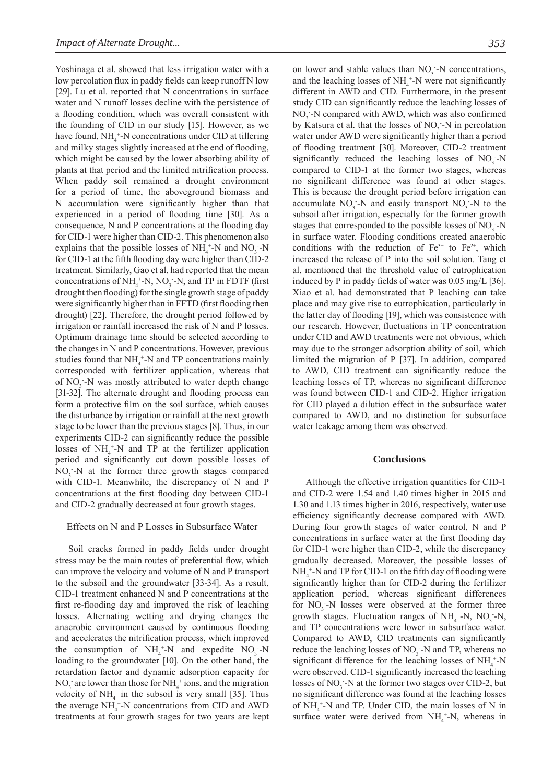Yoshinaga et al. showed that less irrigation water with a low percolation flux in paddy fields can keep runoff N low [29]. Lu et al. reported that N concentrations in surface water and N runoff losses decline with the persistence of a flooding condition, which was overall consistent with the founding of CID in our study [15]. However, as we have found,  $NH<sub>4</sub><sup>+</sup>-N$  concentrations under CID at tillering and milky stages slightly increased at the end of flooding, which might be caused by the lower absorbing ability of plants at that period and the limited nitrification process. When paddy soil remained a drought environment for a period of time, the aboveground biomass and N accumulation were significantly higher than that experienced in a period of flooding time [30]. As a consequence, N and P concentrations at the flooding day for CID-1 were higher than CID-2. This phenomenon also explains that the possible losses of  $NH_4^+$ -N and  $NO_3^-$ -N for CID-1 at the fifth flooding day were higher than CID-2 treatment. Similarly, Gao et al. had reported that the mean concentrations of  $NH_4^+$ -N, NO<sub>3</sub> -N, and TP in FDTF (first drought then flooding) for the single growth stage of paddy were significantly higher than in FFTD (first flooding then drought) [22]. Therefore, the drought period followed by irrigation or rainfall increased the risk of N and P losses. Optimum drainage time should be selected according to the changes in N and P concentrations. However, previous studies found that  $NH_4$ <sup>+</sup>-N and TP concentrations mainly corresponded with fertilizer application, whereas that of NO<sub>3</sub>-N was mostly attributed to water depth change [31-32]. The alternate drought and flooding process can form a protective film on the soil surface, which causes the disturbance by irrigation or rainfall at the next growth stage to be lower than the previous stages [8]. Thus, in our experiments CID-2 can significantly reduce the possible losses of  $NH_4^+$ -N and TP at the fertilizer application period and significantly cut down possible losses of NO<sub>3</sub>-N at the former three growth stages compared with CID-1. Meanwhile, the discrepancy of N and P concentrations at the first flooding day between CID-1 and CID-2 gradually decreased at four growth stages.

## Effects on N and P Losses in Subsurface Water

Soil cracks formed in paddy fields under drought stress may be the main routes of preferential flow, which can improve the velocity and volume of N and P transport to the subsoil and the groundwater [33-34]. As a result, CID-1 treatment enhanced N and P concentrations at the first re-flooding day and improved the risk of leaching losses. Alternating wetting and drying changes the anaerobic environment caused by continuous flooding and accelerates the nitrification process, which improved the consumption of  $NH_4^+$ -N and expedite  $NO_3^-$ -N loading to the groundwater [10]. On the other hand, the retardation factor and dynamic adsorption capacity for  $NO_3$  are lower than those for  $NH_4^+$  ions, and the migration velocity of  $NH_4^+$  in the subsoil is very small [35]. Thus the average  $NH_4^+$ -N concentrations from CID and AWD treatments at four growth stages for two years are kept

on lower and stable values than  $NO<sub>3</sub>$ -N concentrations, and the leaching losses of  $NH_4^+$ -N were not significantly different in AWD and CID. Furthermore, in the present study CID can significantly reduce the leaching losses of NO<sub>3</sub> -N compared with AWD, which was also confirmed by Katsura et al. that the losses of  $NO<sub>3</sub>$  -N in percolation water under AWD were significantly higher than a period of flooding treatment [30]. Moreover, CID-2 treatment significantly reduced the leaching losses of  $NO<sub>3</sub> - N$ compared to CID-1 at the former two stages, whereas no significant difference was found at other stages. This is because the drought period before irrigation can accumulate  $NO_3$ -N and easily transport  $NO_3$ -N to the subsoil after irrigation, especially for the former growth stages that corresponded to the possible losses of  $NO<sub>3</sub> - N$ in surface water. Flooding conditions created anaerobic conditions with the reduction of  $Fe^{3+}$  to  $Fe^{2+}$ , which increased the release of P into the soil solution. Tang et al. mentioned that the threshold value of eutrophication induced by P in paddy fields of water was  $0.05 \text{ mg/L}$  [36]. Xiao et al. had demonstrated that P leaching can take place and may give rise to eutrophication, particularly in the latter day of flooding [19], which was consistence with our research. However, fluctuations in TP concentration under CID and AWD treatments were not obvious, which may due to the stronger adsorption ability of soil, which limited the migration of P [37]. In addition, compared to AWD, CID treatment can significantly reduce the leaching losses of TP, whereas no significant difference was found between CID-1 and CID-2. Higher irrigation for CID played a dilution effect in the subsurface water compared to AWD, and no distinction for subsurface water leakage among them was observed.

#### **Conclusions**

Although the effective irrigation quantities for CID-1 and CID-2 were 1.54 and 1.40 times higher in 2015 and 1.30 and 1.13 times higher in 2016, respectively, water use efficiency significantly decrease compared with AWD. During four growth stages of water control, N and P concentrations in surface water at the first flooding day for CID-1 were higher than CID-2, while the discrepancy gradually decreased. Moreover, the possible losses of  $NH_4^+$ -N and TP for CID-1 on the fifth day of flooding were significantly higher than for CID-2 during the fertilizer application period, whereas significant differences for  $NO_3$ -N losses were observed at the former three growth stages. Fluctuation ranges of  $NH_4^+$ -N, NO<sub>3</sub> -N, and TP concentrations were lower in subsurface water. Compared to AWD, CID treatments can significantly reduce the leaching losses of NO<sub>3</sub> -N and TP, whereas no significant difference for the leaching losses of  $NH_4$ <sup>+</sup>-N were observed. CID-1 significantly increased the leaching losses of  $NO_3^-$ -N at the former two stages over CID-2, but no significant difference was found at the leaching losses of  $NH_4$ <sup>+</sup>-N and TP. Under CID, the main losses of N in surface water were derived from  $NH<sub>4</sub><sup>+</sup>-N$ , whereas in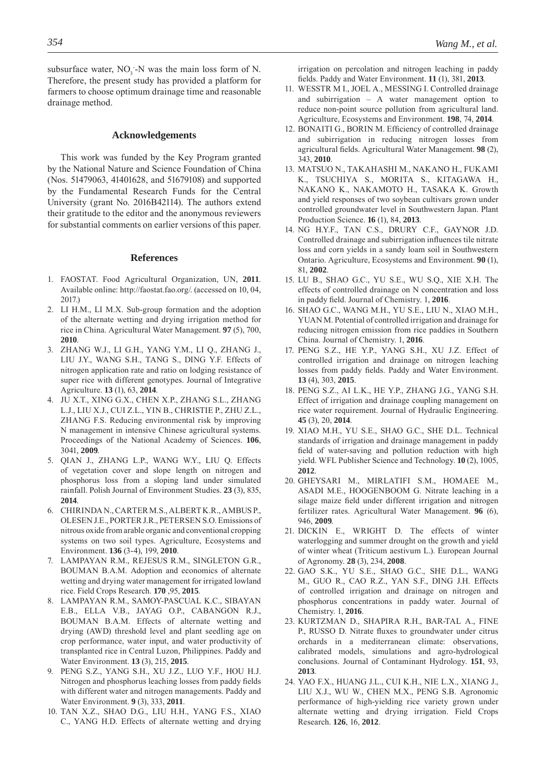subsurface water,  $NO_3$ -N was the main loss form of N. Therefore, the present study has provided a platform for farmers to choose optimum drainage time and reasonable drainage method.

#### **Acknowledgements**

This work was funded by the Key Program granted by the National Nature and Science Foundation of China (Nos. 51479063, 41401628, and 51679108) and supported by the Fundamental Research Funds for the Central University (grant No. 2016B42114). The authors extend their gratitude to the editor and the anonymous reviewers for substantial comments on earlier versions of this paper.

## **References**

- 1. FAOSTAT. Food Agricultural Organization, UN, **2011**. Available online: http://faostat.fao.org/. (accessed on 10, 04, 2017.)
- 2. LI H.M., LI M.X. Sub-group formation and the adoption of the alternate wetting and drying irrigation method for rice in China. Agricultural Water Management. **97** (5), 700, **2010**.
- 3. ZHANG W.J., LI G.H., YANG Y.M., LI Q., ZHANG J., LIU J.Y., WANG S.H., TANG S., DING Y.F. Effects of nitrogen application rate and ratio on lodging resistance of super rice with different genotypes. Journal of Integrative Agriculture. **13** (1), 63, **2014**.
- 4. JU X.T., XING G.X., CHEN X.P., ZHANG S.L., ZHANG L.J., LIU X.J., CUI Z.L., YIN B., CHRISTIE P., ZHU Z.L., ZHANG F.S. Reducing environmental risk by improving N management in intensive Chinese agricultural systems. Proceedings of the National Academy of Sciences. **106**, 3041, **2009**.
- 5. QIAN J., ZHANG L.P., WANG W.Y., LIU Q. Effects of vegetation cover and slope length on nitrogen and phosphorus loss from a sloping land under simulated rainfall. Polish Journal of Environment Studies. **23** (3), 835, **2014**.
- 6. CHIRINDA N., CARTER M.S., ALBERT K.R., AMBUS P., OLESEN J.E., PORTER J.R., PETERSEN S.O. Emissions of nitrous oxide from arable organic and conventional cropping systems on two soil types. Agriculture, Ecosystems and Environment. **136** (3-4), 199, **2010**.
- 7. LAMPAYAN R.M., REJESUS R.M., SINGLETON G.R., BOUMAN B.A.M. Adoption and economics of alternate wetting and drying water management for irrigated lowland rice. Field Crops Research. **170** ,95, **2015**.
- 8. LAMPAYAN R.M., SAMOY-PASCUAL K.C., SIBAYAN E.B., ELLA V.B., JAYAG O.P., CABANGON R.J., BOUMAN B.A.M. Effects of alternate wetting and drying (AWD) threshold level and plant seedling age on crop performance, water input, and water productivity of transplanted rice in Central Luzon, Philippines. Paddy and Water Environment. **13** (3), 215, **2015**.
- 9. PENG S.Z., YANG S.H., XU J.Z., LUO Y.F., HOU H.J. Nitrogen and phosphorus leaching losses from paddy fields with different water and nitrogen managements. Paddy and Water Environment. **9** (3), 333, **2011**.
- 10. TAN X.Z., SHAO D.G., LIU H.H., YANG F.S., XIAO C., YANG H.D. Effects of alternate wetting and drying

irrigation on percolation and nitrogen leaching in paddy fi elds. Paddy and Water Environment. **11** (1), 381, **2013**.

- 11. WESSTR M I., JOEL A., MESSING I. Controlled drainage and subirrigation – A water management option to reduce non-point source pollution from agricultural land. Agriculture, Ecosystems and Environment. **198**, 74, **2014**.
- 12. BONAITI G., BORIN M. Efficiency of controlled drainage and subirrigation in reducing nitrogen losses from agricultural fields. Agricultural Water Management. 98 (2), 343, **2010**.
- 13. MATSUO N., TAKAHASHI M., NAKANO H., FUKAMI K., TSUCHIYA S., MORITA S., KITAGAWA H., NAKANO K., NAKAMOTO H., TASAKA K. Growth and yield responses of two soybean cultivars grown under controlled groundwater level in Southwestern Japan. Plant Production Science. **16** (1), 84, **2013**.
- 14. NG H.Y.F., TAN C.S., DRURY C.F., GAYNOR J.D. Controlled drainage and subirrigation influences tile nitrate loss and corn yields in a sandy loam soil in Southwestern Ontario. Agriculture, Ecosystems and Environment. **90** (1), 81, **2002**.
- 15. LU B., SHAO G.C., YU S.E., WU S.Q., XIE X.H. The effects of controlled drainage on N concentration and loss in paddy field. Journal of Chemistry. 1, 2016.
- 16. SHAO G.C., WANG M.H., YU S.E., LIU N., XIAO M.H., YUAN M. Potential of controlled irrigation and drainage for reducing nitrogen emission from rice paddies in Southern China. Journal of Chemistry. 1, **2016**.
- 17. PENG S.Z., HE Y.P., YANG S.H., XU J.Z. Effect of controlled irrigation and drainage on nitrogen leaching losses from paddy fields. Paddy and Water Environment. **13** (4), 303, **2015**.
- 18. PENG S.Z., AI L.K., HE Y.P., ZHANG J.G., YANG S.H. Effect of irrigation and drainage coupling management on rice water requirement. Journal of Hydraulic Engineering. **45** (3), 20, **2014**.
- 19. XIAO M.H., YU S.E., SHAO G.C., SHE D.L. Technical standards of irrigation and drainage management in paddy field of water-saving and pollution reduction with high yield. WFL Publisher Science and Technology. **10** (2), 1005, **2012**.
- 20. GHEYSARI M., MIRLATIFI S.M., HOMAEE M., ASADI M.E., HOOGENBOOM G. Nitrate leaching in a silage maize field under different irrigation and nitrogen fertilizer rates. Agricultural Water Management. **96** (6), 946, **2009**.
- 21. DICKIN E., WRIGHT D. The effects of winter waterlogging and summer drought on the growth and yield of winter wheat (Triticum aestivum L.). European Journal of Agronomy. **28** (3), 234, **2008**.
- 22. GAO S.K., YU S.E., SHAO G.C., SHE D.L., WANG M., GUO R., CAO R.Z., YAN S.F., DING J.H. Effects of controlled irrigation and drainage on nitrogen and phosphorus concentrations in paddy water. Journal of Chemistry. 1, **2016**.
- 23. KURTZMAN D., SHAPIRA R.H., BAR-TAL A., FINE P., RUSSO D. Nitrate fluxes to groundwater under citrus orchards in a mediterranean climate: observations, calibrated models, simulations and agro-hydrological conclusions. Journal of Contaminant Hydrology. **151**, 93, **2013**.
- 24. YAO F.X., HUANG J.L., CUI K.H., NIE L.X., XIANG J., LIU X.J., WU W., CHEN M.X., PENG S.B. Agronomic performance of high-yielding rice variety grown under alternate wetting and drying irrigation. Field Crops Research. **126**, 16, **2012**.